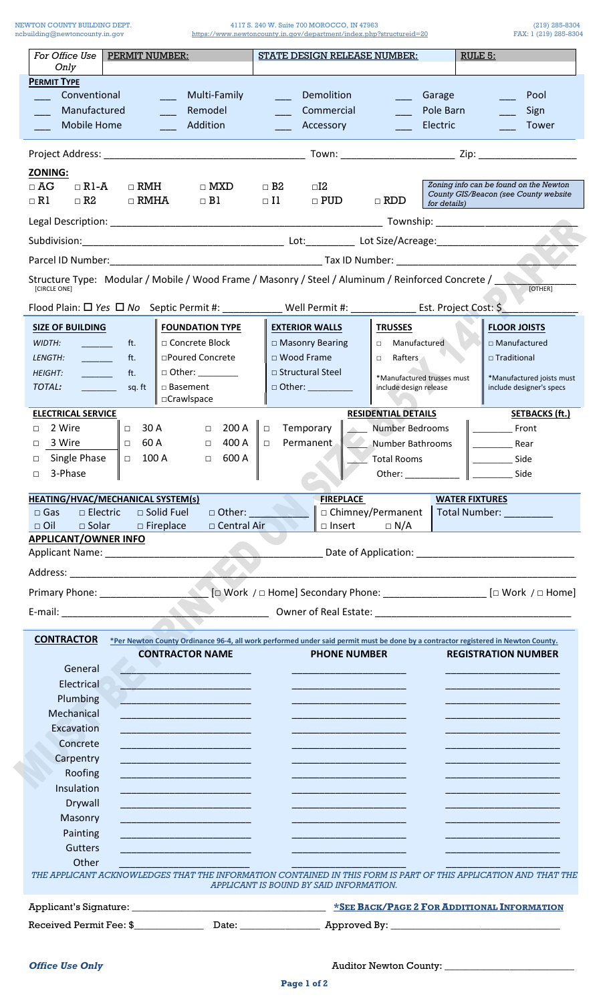NEWTON COUNTY BUILDING DEPT.<br>ncbuilding@newtoncounty.in.gov

4117 S. 240 W. Suite 700 MOROCCO, IN 47963<br>https://www.newtoncounty.in.gov/department/index.php?structureid=20 FAX: 1 (219) 285-8304

| For Office Use<br><b>PERMIT NUMBER:</b><br>Only                                                                                 |                                                                                                                       |                                                                                                                                   | <b>STATE DESIGN RELEASE NUMBER:</b>                                                                                   |                                         |                                                                                                                       |                            | RULE 5: |                                                                                                                                                                                                                                |
|---------------------------------------------------------------------------------------------------------------------------------|-----------------------------------------------------------------------------------------------------------------------|-----------------------------------------------------------------------------------------------------------------------------------|-----------------------------------------------------------------------------------------------------------------------|-----------------------------------------|-----------------------------------------------------------------------------------------------------------------------|----------------------------|---------|--------------------------------------------------------------------------------------------------------------------------------------------------------------------------------------------------------------------------------|
| <b>PERMIT TYPE</b>                                                                                                              |                                                                                                                       |                                                                                                                                   |                                                                                                                       |                                         |                                                                                                                       |                            |         |                                                                                                                                                                                                                                |
| Conventional                                                                                                                    |                                                                                                                       | Multi-Family                                                                                                                      | <b>Contract Contract Contract Contract Contract Contract Contract Contract Contract Contract Contract Contract Co</b> | Demolition                              |                                                                                                                       | Garage                     |         | Pool                                                                                                                                                                                                                           |
| Manufactured                                                                                                                    |                                                                                                                       | Remodel                                                                                                                           |                                                                                                                       | Commercial                              |                                                                                                                       | Pole Barn                  |         | Sign                                                                                                                                                                                                                           |
| <b>Mobile Home</b>                                                                                                              | <b>Contract Contract Contract Contract Contract Contract Contract Contract Contract Contract Contract Contract Co</b> | Addition                                                                                                                          | <b>Contract Contract Contract Contract Contract Contract Contract Contract Contract Contract Contract Contract Co</b> | Accessory                               | <b>Contract Contract Contract Contract Contract Contract Contract Contract Contract Contract Contract Contract Co</b> | Electric                   |         | <b>Tower</b><br><b>Contract Contract Contract Contract Contract Contract Contract Contract Contract Contract Contract Contract Co</b>                                                                                          |
|                                                                                                                                 |                                                                                                                       |                                                                                                                                   |                                                                                                                       |                                         |                                                                                                                       |                            |         | Zip: the contract of the contract of the contract of the contract of the contract of the contract of the contract of the contract of the contract of the contract of the contract of the contract of the contract of the contr |
| <b>ZONING:</b>                                                                                                                  |                                                                                                                       |                                                                                                                                   |                                                                                                                       |                                         |                                                                                                                       |                            |         |                                                                                                                                                                                                                                |
| $\Box$ AG<br>$\Box$ R1-A<br>$\Box$ R1<br>$\Box$ R2                                                                              | $\Box$ RMH<br>$\Box$ RMHA                                                                                             | $\Box$ MXD<br>$\Box$ B1                                                                                                           | $\Box$ B2<br>$\Box$ Il                                                                                                | $\square$<br>$\Box$ PUD                 | $\Box$ RDD                                                                                                            | for details)               |         | Zoning info can be found on the Newton<br>County GIS/Beacon (see County website                                                                                                                                                |
|                                                                                                                                 |                                                                                                                       |                                                                                                                                   |                                                                                                                       |                                         |                                                                                                                       |                            |         |                                                                                                                                                                                                                                |
|                                                                                                                                 |                                                                                                                       |                                                                                                                                   |                                                                                                                       |                                         |                                                                                                                       |                            |         |                                                                                                                                                                                                                                |
|                                                                                                                                 |                                                                                                                       |                                                                                                                                   |                                                                                                                       |                                         |                                                                                                                       |                            |         |                                                                                                                                                                                                                                |
| Structure Type: Modular / Mobile / Wood Frame / Masonry / Steel / Aluminum / Reinforced Concrete /<br>[CIRCLE ONE]              |                                                                                                                       |                                                                                                                                   |                                                                                                                       |                                         |                                                                                                                       |                            |         | [OTHER]                                                                                                                                                                                                                        |
| Flood Plain: □ Yes □ No Septic Permit #: ___________ Well Permit #: ____________ Est. Project Cost: \$__________                |                                                                                                                       |                                                                                                                                   |                                                                                                                       |                                         |                                                                                                                       |                            |         |                                                                                                                                                                                                                                |
| <b>SIZE OF BUILDING</b>                                                                                                         |                                                                                                                       | <b>FOUNDATION TYPE</b>                                                                                                            |                                                                                                                       | <b>EXTERIOR WALLS</b>                   | <b>TRUSSES</b>                                                                                                        |                            |         | <b>FLOOR JOISTS</b>                                                                                                                                                                                                            |
| WIDTH:<br><b>Contract Contract Contract Contract Contract Contract Contract Contract Contract Contract Contract Contract Co</b> | ft.                                                                                                                   | □ Concrete Block                                                                                                                  |                                                                                                                       | $\Box$ Masonry Bearing                  | □ Manufactured                                                                                                        |                            |         | $\Box$ Manufactured                                                                                                                                                                                                            |
| LENGTH:                                                                                                                         | ft.                                                                                                                   | □Poured Concrete                                                                                                                  |                                                                                                                       | □ Wood Frame                            | Rafters<br>$\Box$                                                                                                     |                            |         | $\square$ Traditional                                                                                                                                                                                                          |
| <b>HEIGHT:</b>                                                                                                                  | ft.                                                                                                                   |                                                                                                                                   |                                                                                                                       | $\Box$ Structural Steel                 |                                                                                                                       |                            |         |                                                                                                                                                                                                                                |
| TOTAL:                                                                                                                          | sq. ft                                                                                                                | □ Basement                                                                                                                        |                                                                                                                       |                                         | include design release                                                                                                | *Manufactured trusses must |         | *Manufactured joists must<br>include designer's specs                                                                                                                                                                          |
| <b>ELECTRICAL SERVICE</b>                                                                                                       |                                                                                                                       | □Crawlspace                                                                                                                       |                                                                                                                       |                                         | <b>RESIDENTIAL DETAILS</b>                                                                                            |                            |         | <b>SETBACKS (ft.)</b>                                                                                                                                                                                                          |
| 2 Wire<br>$\Box$<br>П.                                                                                                          | 30 A                                                                                                                  | 200 A<br>$\Box$                                                                                                                   | $\Box$                                                                                                                | Temporary                               | <b>Number Bedrooms</b>                                                                                                |                            |         | <b>Eront</b>                                                                                                                                                                                                                   |
| 3 Wire<br>$\Box$<br>П.                                                                                                          | 60 A                                                                                                                  | 400 A<br>$\Box$                                                                                                                   | $\Box$                                                                                                                | Permanent                               | Number Bathrooms                                                                                                      |                            |         | <b>Rear</b>                                                                                                                                                                                                                    |
|                                                                                                                                 |                                                                                                                       |                                                                                                                                   |                                                                                                                       |                                         |                                                                                                                       |                            |         |                                                                                                                                                                                                                                |
| $\Box$<br>$\Box$                                                                                                                |                                                                                                                       | $\Box$                                                                                                                            |                                                                                                                       |                                         |                                                                                                                       |                            |         |                                                                                                                                                                                                                                |
| Single Phase                                                                                                                    | 100 A                                                                                                                 | 600 A                                                                                                                             |                                                                                                                       |                                         | <b>Total Rooms</b>                                                                                                    |                            |         | Side                                                                                                                                                                                                                           |
| 3-Phase<br>$\Box$                                                                                                               |                                                                                                                       |                                                                                                                                   |                                                                                                                       |                                         | Other:                                                                                                                |                            |         | Side                                                                                                                                                                                                                           |
|                                                                                                                                 |                                                                                                                       |                                                                                                                                   |                                                                                                                       | <b>FIREPLACE</b>                        |                                                                                                                       |                            |         | <b>WATER FIXTURES</b>                                                                                                                                                                                                          |
| $\Box$ Gas<br>$\Box$ Electric                                                                                                   | $\square$ Solid Fuel                                                                                                  | □ Other:                                                                                                                          |                                                                                                                       |                                         | □ Chimney/Permanent                                                                                                   |                            |         | Total Number: The Contract of the Contract of the Contract of the Contract of the Contract of the Contract of the Contract of the Contract of the Contract of the Contract of the Contract of the Contract of the Contract of  |
| $\Box$ Oil<br>$\square$ Solar<br><b>Service Service</b>                                                                         | $\Box$ Fireplace                                                                                                      | □ Central Air                                                                                                                     |                                                                                                                       | $\Box$ Insert                           | $\Box$ N/A                                                                                                            |                            |         |                                                                                                                                                                                                                                |
|                                                                                                                                 |                                                                                                                       |                                                                                                                                   |                                                                                                                       |                                         |                                                                                                                       |                            |         |                                                                                                                                                                                                                                |
|                                                                                                                                 |                                                                                                                       |                                                                                                                                   |                                                                                                                       |                                         |                                                                                                                       |                            |         |                                                                                                                                                                                                                                |
|                                                                                                                                 |                                                                                                                       |                                                                                                                                   |                                                                                                                       |                                         |                                                                                                                       |                            |         |                                                                                                                                                                                                                                |
|                                                                                                                                 |                                                                                                                       |                                                                                                                                   |                                                                                                                       |                                         |                                                                                                                       |                            |         |                                                                                                                                                                                                                                |
|                                                                                                                                 |                                                                                                                       |                                                                                                                                   |                                                                                                                       |                                         |                                                                                                                       |                            |         |                                                                                                                                                                                                                                |
| <b>CONTRACTOR</b>                                                                                                               |                                                                                                                       | *Per Newton County Ordinance 96-4, all work performed under said permit must be done by a contractor registered in Newton County. |                                                                                                                       |                                         |                                                                                                                       |                            |         |                                                                                                                                                                                                                                |
| <b>HEATING/HVAC/MECHANICAL SYSTEM(s)</b><br><b>APPLICANT/OWNER INFO</b>                                                         |                                                                                                                       | <b>CONTRACTOR NAME</b>                                                                                                            |                                                                                                                       | <b>PHONE NUMBER</b>                     |                                                                                                                       |                            |         | Date of Application: National Property of Application:<br><b>REGISTRATION NUMBER</b>                                                                                                                                           |
| General                                                                                                                         |                                                                                                                       |                                                                                                                                   |                                                                                                                       |                                         |                                                                                                                       |                            |         |                                                                                                                                                                                                                                |
| Electrical                                                                                                                      |                                                                                                                       |                                                                                                                                   |                                                                                                                       |                                         |                                                                                                                       |                            |         |                                                                                                                                                                                                                                |
| Plumbing                                                                                                                        |                                                                                                                       | and the control of the control of the control of the control of the control of                                                    |                                                                                                                       |                                         |                                                                                                                       |                            |         |                                                                                                                                                                                                                                |
| Mechanical                                                                                                                      |                                                                                                                       |                                                                                                                                   |                                                                                                                       |                                         |                                                                                                                       |                            |         |                                                                                                                                                                                                                                |
| Excavation                                                                                                                      |                                                                                                                       | a sa kacamatan ing Kabupatèn Kabupatèn Kabupatèn Kabupatèn Kabupatèn Kabupatèn Kabupatèn Kabupatèn Kabupatèn K                    |                                                                                                                       |                                         |                                                                                                                       |                            |         |                                                                                                                                                                                                                                |
| Concrete                                                                                                                        |                                                                                                                       |                                                                                                                                   |                                                                                                                       |                                         |                                                                                                                       |                            |         |                                                                                                                                                                                                                                |
| Carpentry                                                                                                                       |                                                                                                                       |                                                                                                                                   |                                                                                                                       |                                         |                                                                                                                       |                            |         |                                                                                                                                                                                                                                |
| Roofing                                                                                                                         |                                                                                                                       | the control of the control of the control of the control of                                                                       |                                                                                                                       |                                         |                                                                                                                       |                            |         |                                                                                                                                                                                                                                |
| Insulation                                                                                                                      |                                                                                                                       | and the control of the control of the control of the control of the control of the control of the control of the                  |                                                                                                                       |                                         |                                                                                                                       |                            |         |                                                                                                                                                                                                                                |
| Drywall                                                                                                                         |                                                                                                                       |                                                                                                                                   |                                                                                                                       |                                         |                                                                                                                       |                            |         |                                                                                                                                                                                                                                |
| Masonry                                                                                                                         |                                                                                                                       | and the control of the control of the control of the                                                                              |                                                                                                                       |                                         |                                                                                                                       |                            |         |                                                                                                                                                                                                                                |
| Painting                                                                                                                        |                                                                                                                       |                                                                                                                                   |                                                                                                                       |                                         |                                                                                                                       |                            |         |                                                                                                                                                                                                                                |
| Gutters                                                                                                                         |                                                                                                                       |                                                                                                                                   |                                                                                                                       |                                         |                                                                                                                       |                            |         |                                                                                                                                                                                                                                |
| Other                                                                                                                           |                                                                                                                       |                                                                                                                                   |                                                                                                                       |                                         |                                                                                                                       |                            |         |                                                                                                                                                                                                                                |
| THE APPLICANT ACKNOWLEDGES THAT THE INFORMATION CONTAINED IN THIS FORM IS PART OF THIS APPLICATION AND THAT THE                 |                                                                                                                       |                                                                                                                                   |                                                                                                                       | APPLICANT IS BOUND BY SAID INFORMATION. |                                                                                                                       |                            |         |                                                                                                                                                                                                                                |
|                                                                                                                                 |                                                                                                                       |                                                                                                                                   |                                                                                                                       |                                         |                                                                                                                       |                            |         | *SEE BACK/PAGE 2 FOR ADDITIONAL INFORMATION                                                                                                                                                                                    |